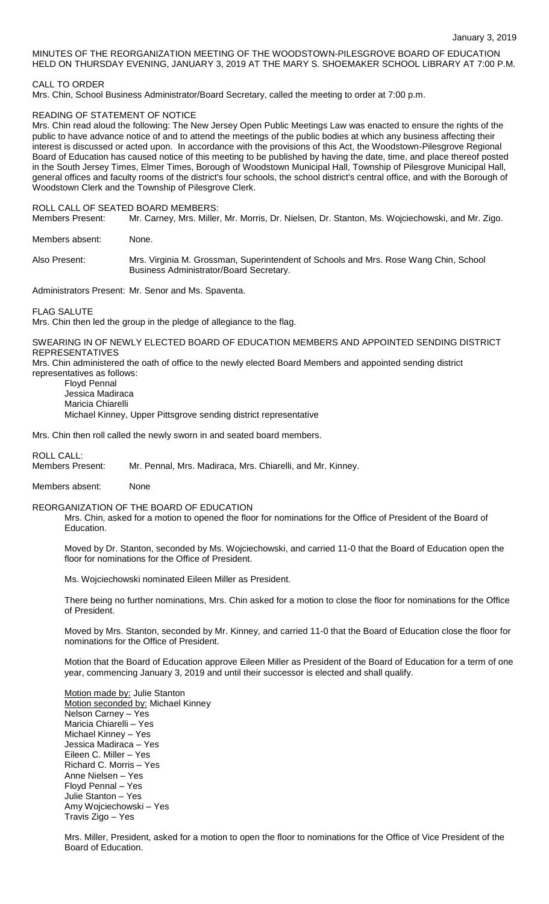# MINUTES OF THE REORGANIZATION MEETING OF THE WOODSTOWN-PILESGROVE BOARD OF EDUCATION HELD ON THURSDAY EVENING, JANUARY 3, 2019 AT THE MARY S. SHOEMAKER SCHOOL LIBRARY AT 7:00 P.M.

# CALL TO ORDER

Mrs. Chin, School Business Administrator/Board Secretary, called the meeting to order at 7:00 p.m.

## READING OF STATEMENT OF NOTICE

Mrs. Chin read aloud the following: The New Jersey Open Public Meetings Law was enacted to ensure the rights of the public to have advance notice of and to attend the meetings of the public bodies at which any business affecting their interest is discussed or acted upon. In accordance with the provisions of this Act, the Woodstown-Pilesgrove Regional Board of Education has caused notice of this meeting to be published by having the date, time, and place thereof posted in the South Jersey Times, Elmer Times, Borough of Woodstown Municipal Hall, Township of Pilesgrove Municipal Hall, general offices and faculty rooms of the district's four schools, the school district's central office, and with the Borough of Woodstown Clerk and the Township of Pilesgrove Clerk.

#### ROLL CALL OF SEATED BOARD MEMBERS:

Members Present: Mr. Carney, Mrs. Miller, Mr. Morris, Dr. Nielsen, Dr. Stanton, Ms. Wojciechowski, and Mr. Zigo.

Members absent: None.

Also Present: Mrs. Virginia M. Grossman, Superintendent of Schools and Mrs. Rose Wang Chin, School Business Administrator/Board Secretary.

Administrators Present: Mr. Senor and Ms. Spaventa.

FLAG SALUTE

Mrs. Chin then led the group in the pledge of allegiance to the flag.

## SWEARING IN OF NEWLY ELECTED BOARD OF EDUCATION MEMBERS AND APPOINTED SENDING DISTRICT REPRESENTATIVES

Mrs. Chin administered the oath of office to the newly elected Board Members and appointed sending district representatives as follows:

Floyd Pennal Jessica Madiraca Maricia Chiarelli Michael Kinney, Upper Pittsgrove sending district representative

Mrs. Chin then roll called the newly sworn in and seated board members.

# ROLL CALL:

Members Present: Mr. Pennal, Mrs. Madiraca, Mrs. Chiarelli, and Mr. Kinney.

# Members absent: None

# REORGANIZATION OF THE BOARD OF EDUCATION

Mrs. Chin, asked for a motion to opened the floor for nominations for the Office of President of the Board of Education.

Moved by Dr. Stanton, seconded by Ms. Wojciechowski, and carried 11-0 that the Board of Education open the floor for nominations for the Office of President.

Ms. Wojciechowski nominated Eileen Miller as President.

There being no further nominations, Mrs. Chin asked for a motion to close the floor for nominations for the Office of President.

Moved by Mrs. Stanton, seconded by Mr. Kinney, and carried 11-0 that the Board of Education close the floor for nominations for the Office of President.

Motion that the Board of Education approve Eileen Miller as President of the Board of Education for a term of one year, commencing January 3, 2019 and until their successor is elected and shall qualify.

Motion made by: Julie Stanton Motion seconded by: Michael Kinney Nelson Carney – Yes Maricia Chiarelli – Yes Michael Kinney – Yes Jessica Madiraca – Yes Eileen C. Miller – Yes Richard C. Morris – Yes Anne Nielsen – Yes Floyd Pennal – Yes Julie Stanton – Yes Amy Wojciechowski – Yes Travis Zigo – Yes

Mrs. Miller, President, asked for a motion to open the floor to nominations for the Office of Vice President of the Board of Education.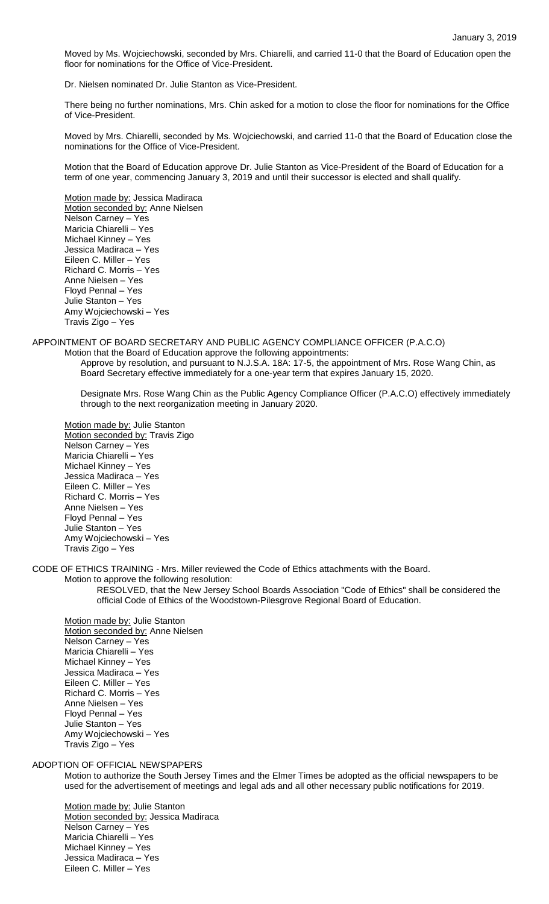Moved by Ms. Wojciechowski, seconded by Mrs. Chiarelli, and carried 11-0 that the Board of Education open the floor for nominations for the Office of Vice-President.

Dr. Nielsen nominated Dr. Julie Stanton as Vice-President.

There being no further nominations, Mrs. Chin asked for a motion to close the floor for nominations for the Office of Vice-President.

Moved by Mrs. Chiarelli, seconded by Ms. Wojciechowski, and carried 11-0 that the Board of Education close the nominations for the Office of Vice-President.

Motion that the Board of Education approve Dr. Julie Stanton as Vice-President of the Board of Education for a term of one year, commencing January 3, 2019 and until their successor is elected and shall qualify.

Motion made by: Jessica Madiraca Motion seconded by: Anne Nielsen Nelson Carney – Yes Maricia Chiarelli – Yes Michael Kinney – Yes Jessica Madiraca – Yes Eileen C. Miller – Yes Richard C. Morris – Yes Anne Nielsen – Yes Floyd Pennal – Yes Julie Stanton – Yes Amy Wojciechowski – Yes Travis Zigo – Yes

APPOINTMENT OF BOARD SECRETARY AND PUBLIC AGENCY COMPLIANCE OFFICER (P.A.C.O)

Motion that the Board of Education approve the following appointments: Approve by resolution, and pursuant to N.J.S.A. 18A: 17-5, the appointment of Mrs. Rose Wang Chin, as Board Secretary effective immediately for a one-year term that expires January 15, 2020.

Designate Mrs. Rose Wang Chin as the Public Agency Compliance Officer (P.A.C.O) effectively immediately through to the next reorganization meeting in January 2020.

Motion made by: Julie Stanton Motion seconded by: Travis Zigo Nelson Carney – Yes Maricia Chiarelli – Yes Michael Kinney – Yes Jessica Madiraca – Yes Eileen C. Miller – Yes Richard C. Morris – Yes Anne Nielsen – Yes Floyd Pennal – Yes Julie Stanton – Yes Amy Wojciechowski – Yes Travis Zigo – Yes

CODE OF ETHICS TRAINING - Mrs. Miller reviewed the Code of Ethics attachments with the Board.

Motion to approve the following resolution:

RESOLVED, that the New Jersey School Boards Association "Code of Ethics" shall be considered the official Code of Ethics of the Woodstown-Pilesgrove Regional Board of Education.

Motion made by: Julie Stanton Motion seconded by: Anne Nielsen Nelson Carney – Yes Maricia Chiarelli – Yes Michael Kinney – Yes Jessica Madiraca – Yes Eileen C. Miller – Yes Richard C. Morris – Yes Anne Nielsen – Yes Floyd Pennal – Yes Julie Stanton – Yes Amy Wojciechowski – Yes Travis Zigo – Yes

ADOPTION OF OFFICIAL NEWSPAPERS

Motion to authorize the South Jersey Times and the Elmer Times be adopted as the official newspapers to be used for the advertisement of meetings and legal ads and all other necessary public notifications for 2019.

Motion made by: Julie Stanton Motion seconded by: Jessica Madiraca Nelson Carney – Yes Maricia Chiarelli – Yes Michael Kinney – Yes Jessica Madiraca – Yes Eileen C. Miller – Yes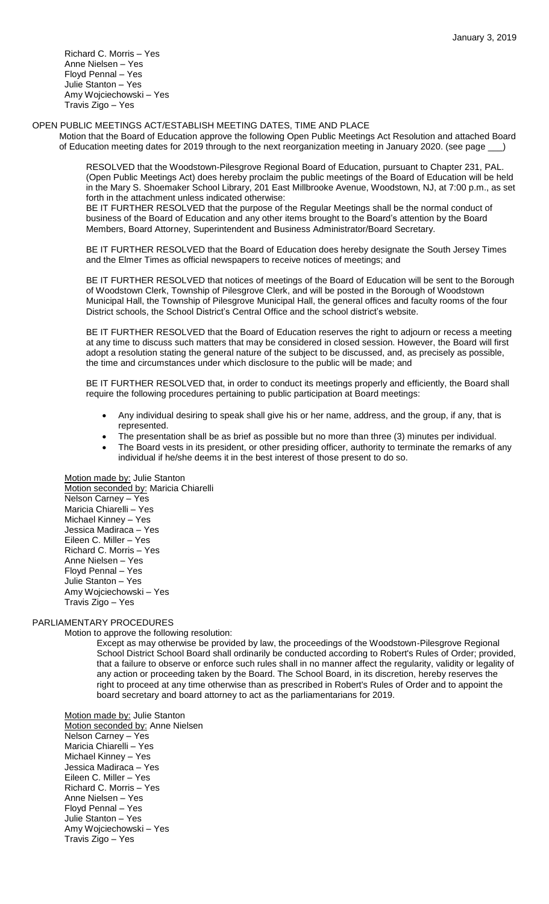Richard C. Morris – Yes Anne Nielsen – Yes Floyd Pennal – Yes Julie Stanton – Yes Amy Wojciechowski – Yes Travis Zigo – Yes

#### OPEN PUBLIC MEETINGS ACT/ESTABLISH MEETING DATES, TIME AND PLACE

Motion that the Board of Education approve the following Open Public Meetings Act Resolution and attached Board of Education meeting dates for 2019 through to the next reorganization meeting in January 2020. (see page \_\_\_)

RESOLVED that the Woodstown-Pilesgrove Regional Board of Education, pursuant to Chapter 231, PAL. (Open Public Meetings Act) does hereby proclaim the public meetings of the Board of Education will be held in the Mary S. Shoemaker School Library, 201 East Millbrooke Avenue, Woodstown, NJ, at 7:00 p.m., as set forth in the attachment unless indicated otherwise:

BE IT FURTHER RESOLVED that the purpose of the Regular Meetings shall be the normal conduct of business of the Board of Education and any other items brought to the Board's attention by the Board Members, Board Attorney, Superintendent and Business Administrator/Board Secretary.

BE IT FURTHER RESOLVED that the Board of Education does hereby designate the South Jersey Times and the Elmer Times as official newspapers to receive notices of meetings; and

BE IT FURTHER RESOLVED that notices of meetings of the Board of Education will be sent to the Borough of Woodstown Clerk, Township of Pilesgrove Clerk, and will be posted in the Borough of Woodstown Municipal Hall, the Township of Pilesgrove Municipal Hall, the general offices and faculty rooms of the four District schools, the School District's Central Office and the school district's website.

BE IT FURTHER RESOLVED that the Board of Education reserves the right to adjourn or recess a meeting at any time to discuss such matters that may be considered in closed session. However, the Board will first adopt a resolution stating the general nature of the subject to be discussed, and, as precisely as possible, the time and circumstances under which disclosure to the public will be made; and

BE IT FURTHER RESOLVED that, in order to conduct its meetings properly and efficiently, the Board shall require the following procedures pertaining to public participation at Board meetings:

- Any individual desiring to speak shall give his or her name, address, and the group, if any, that is represented.
- The presentation shall be as brief as possible but no more than three (3) minutes per individual.
- The Board vests in its president, or other presiding officer, authority to terminate the remarks of any individual if he/she deems it in the best interest of those present to do so.

Motion made by: Julie Stanton Motion seconded by: Maricia Chiarelli Nelson Carney – Yes Maricia Chiarelli – Yes Michael Kinney – Yes Jessica Madiraca – Yes Eileen C. Miller – Yes Richard C. Morris – Yes Anne Nielsen – Yes Floyd Pennal – Yes Julie Stanton – Yes Amy Wojciechowski – Yes Travis Zigo – Yes

## PARLIAMENTARY PROCEDURES

Motion to approve the following resolution:

Except as may otherwise be provided by law, the proceedings of the Woodstown-Pilesgrove Regional School District School Board shall ordinarily be conducted according to Robert's Rules of Order; provided, that a failure to observe or enforce such rules shall in no manner affect the regularity, validity or legality of any action or proceeding taken by the Board. The School Board, in its discretion, hereby reserves the right to proceed at any time otherwise than as prescribed in Robert's Rules of Order and to appoint the board secretary and board attorney to act as the parliamentarians for 2019.

Motion made by: Julie Stanton Motion seconded by: Anne Nielsen Nelson Carney – Yes Maricia Chiarelli – Yes Michael Kinney – Yes Jessica Madiraca – Yes Eileen C. Miller – Yes Richard C. Morris – Yes Anne Nielsen – Yes Floyd Pennal – Yes Julie Stanton – Yes Amy Wojciechowski – Yes Travis Zigo – Yes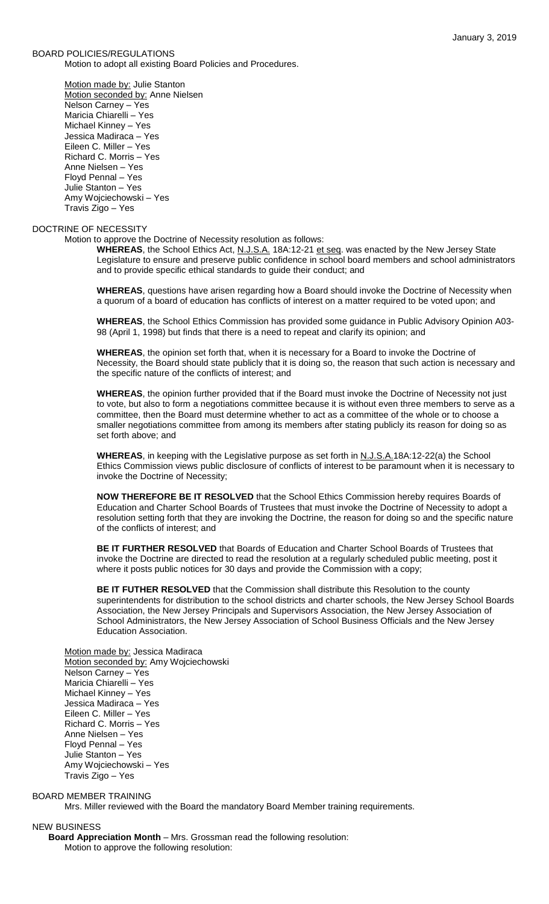#### BOARD POLICIES/REGULATIONS

Motion to adopt all existing Board Policies and Procedures.

Motion made by: Julie Stanton Motion seconded by: Anne Nielsen Nelson Carney – Yes Maricia Chiarelli – Yes Michael Kinney – Yes Jessica Madiraca – Yes Eileen C. Miller – Yes Richard C. Morris – Yes Anne Nielsen – Yes Floyd Pennal – Yes Julie Stanton – Yes Amy Wojciechowski – Yes Travis Zigo – Yes

# DOCTRINE OF NECESSITY

Motion to approve the Doctrine of Necessity resolution as follows:

WHEREAS, the School Ethics Act, N.J.S.A. 18A:12-21 et seq. was enacted by the New Jersey State Legislature to ensure and preserve public confidence in school board members and school administrators and to provide specific ethical standards to guide their conduct; and

**WHEREAS**, questions have arisen regarding how a Board should invoke the Doctrine of Necessity when a quorum of a board of education has conflicts of interest on a matter required to be voted upon; and

**WHEREAS**, the School Ethics Commission has provided some guidance in Public Advisory Opinion A03- 98 (April 1, 1998) but finds that there is a need to repeat and clarify its opinion; and

**WHEREAS**, the opinion set forth that, when it is necessary for a Board to invoke the Doctrine of Necessity, the Board should state publicly that it is doing so, the reason that such action is necessary and the specific nature of the conflicts of interest; and

**WHEREAS**, the opinion further provided that if the Board must invoke the Doctrine of Necessity not just to vote, but also to form a negotiations committee because it is without even three members to serve as a committee, then the Board must determine whether to act as a committee of the whole or to choose a smaller negotiations committee from among its members after stating publicly its reason for doing so as set forth above; and

**WHEREAS**, in keeping with the Legislative purpose as set forth in N.J.S.A.18A:12-22(a) the School Ethics Commission views public disclosure of conflicts of interest to be paramount when it is necessary to invoke the Doctrine of Necessity;

**NOW THEREFORE BE IT RESOLVED** that the School Ethics Commission hereby requires Boards of Education and Charter School Boards of Trustees that must invoke the Doctrine of Necessity to adopt a resolution setting forth that they are invoking the Doctrine, the reason for doing so and the specific nature of the conflicts of interest; and

**BE IT FURTHER RESOLVED** that Boards of Education and Charter School Boards of Trustees that invoke the Doctrine are directed to read the resolution at a regularly scheduled public meeting, post it where it posts public notices for 30 days and provide the Commission with a copy;

**BE IT FUTHER RESOLVED** that the Commission shall distribute this Resolution to the county superintendents for distribution to the school districts and charter schools, the New Jersey School Boards Association, the New Jersey Principals and Supervisors Association, the New Jersey Association of School Administrators, the New Jersey Association of School Business Officials and the New Jersey Education Association.

Motion made by: Jessica Madiraca Motion seconded by: Amy Wojciechowski Nelson Carney – Yes Maricia Chiarelli – Yes Michael Kinney – Yes Jessica Madiraca – Yes Eileen C. Miller – Yes Richard C. Morris – Yes Anne Nielsen – Yes Floyd Pennal – Yes Julie Stanton – Yes Amy Wojciechowski – Yes Travis Zigo – Yes

## BOARD MEMBER TRAINING

Mrs. Miller reviewed with the Board the mandatory Board Member training requirements.

#### NEW BUSINESS

**Board Appreciation Month** – Mrs. Grossman read the following resolution: Motion to approve the following resolution: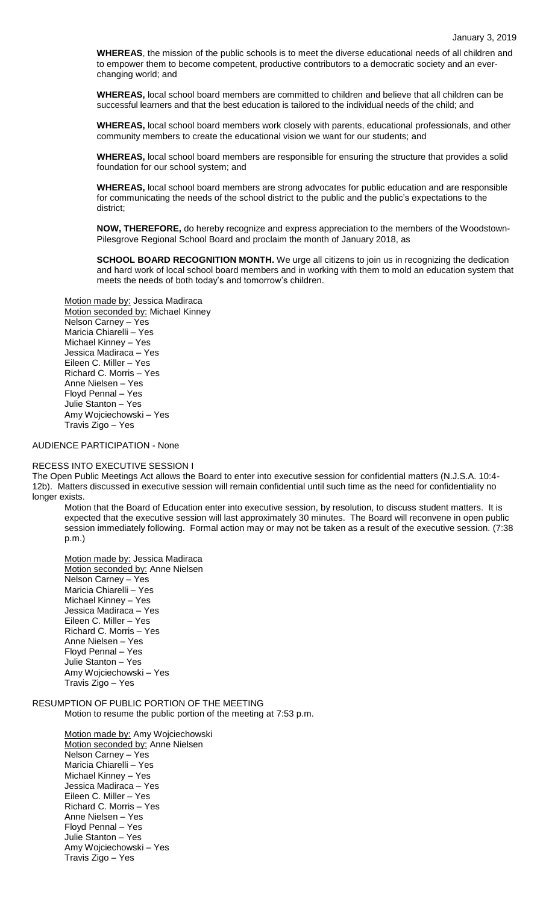**WHEREAS**, the mission of the public schools is to meet the diverse educational needs of all children and to empower them to become competent, productive contributors to a democratic society and an everchanging world; and

**WHEREAS,** local school board members are committed to children and believe that all children can be successful learners and that the best education is tailored to the individual needs of the child; and

**WHEREAS,** local school board members work closely with parents, educational professionals, and other community members to create the educational vision we want for our students; and

**WHEREAS,** local school board members are responsible for ensuring the structure that provides a solid foundation for our school system; and

**WHEREAS,** local school board members are strong advocates for public education and are responsible for communicating the needs of the school district to the public and the public's expectations to the district;

**NOW, THEREFORE,** do hereby recognize and express appreciation to the members of the Woodstown-Pilesgrove Regional School Board and proclaim the month of January 2018, as

**SCHOOL BOARD RECOGNITION MONTH.** We urge all citizens to join us in recognizing the dedication and hard work of local school board members and in working with them to mold an education system that meets the needs of both today's and tomorrow's children.

# Motion made by: Jessica Madiraca

Motion seconded by: Michael Kinney Nelson Carney – Yes Maricia Chiarelli – Yes Michael Kinney – Yes Jessica Madiraca – Yes Eileen C. Miller – Yes Richard C. Morris – Yes Anne Nielsen – Yes Floyd Pennal – Yes Julie Stanton – Yes Amy Wojciechowski – Yes Travis Zigo – Yes

#### AUDIENCE PARTICIPATION - None

#### RECESS INTO EXECUTIVE SESSION I

The Open Public Meetings Act allows the Board to enter into executive session for confidential matters (N.J.S.A. 10:4- 12b). Matters discussed in executive session will remain confidential until such time as the need for confidentiality no longer exists.

Motion that the Board of Education enter into executive session, by resolution, to discuss student matters. It is expected that the executive session will last approximately 30 minutes. The Board will reconvene in open public session immediately following. Formal action may or may not be taken as a result of the executive session. (7:38 p.m.)

Motion made by: Jessica Madiraca Motion seconded by: Anne Nielsen Nelson Carney – Yes Maricia Chiarelli – Yes Michael Kinney – Yes Jessica Madiraca – Yes Eileen C. Miller – Yes Richard C. Morris – Yes Anne Nielsen – Yes Floyd Pennal – Yes Julie Stanton – Yes Amy Wojciechowski – Yes Travis Zigo – Yes

# RESUMPTION OF PUBLIC PORTION OF THE MEETING

Motion to resume the public portion of the meeting at 7:53 p.m.

Motion made by: Amy Wojciechowski Motion seconded by: Anne Nielsen Nelson Carney – Yes Maricia Chiarelli – Yes Michael Kinney – Yes Jessica Madiraca – Yes Eileen C. Miller – Yes Richard C. Morris – Yes Anne Nielsen – Yes Floyd Pennal – Yes Julie Stanton – Yes Amy Wojciechowski – Yes Travis Zigo – Yes